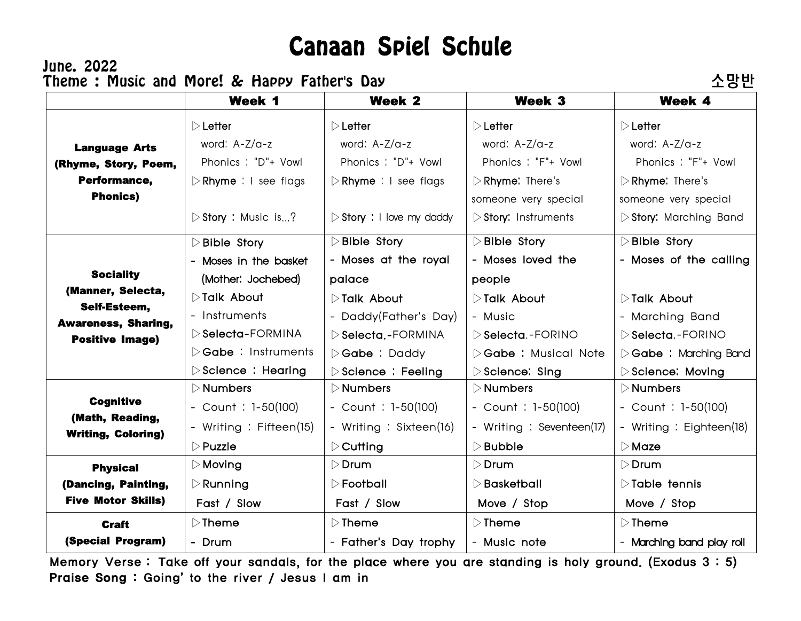## Canaan Spiel Schule

## June. 2022 Theme : Music and More! & Happy Father's Day Theme to the A 망반

|                                              | Week 1                               | Week 2                                   | Week 3                              | Week 4                                |
|----------------------------------------------|--------------------------------------|------------------------------------------|-------------------------------------|---------------------------------------|
|                                              | $\triangleright$ Letter              | $\triangleright$ Letter                  | $\triangleright$ Letter             | $\triangleright$ Letter               |
| <b>Language Arts</b>                         | word: A-Z/a-z                        | word: A-Z/a-z                            | word: A-Z/a-z                       | word: A-Z/a-z                         |
| (Rhyme, Story, Poem,                         | Phonics: "D"+ Vowl                   | Phonics: "D"+ Vowl                       | Phonics: "F"+ Vowl                  | Phonics: "F"+ Vowl                    |
| Performance,                                 | $\triangleright$ Rhyme : I see flags | $\triangleright$ Rhyme : I see flags     | $\triangleright$ Rhyme: There's     | $\triangleright$ Rhyme: There's       |
| <b>Phonics)</b>                              |                                      |                                          | someone very special                | someone very special                  |
|                                              | $\triangleright$ Story : Music is?   | $\triangleright$ Story : I love my daddy | $\triangleright$ Story: Instruments | $\triangleright$ Story: Marching Band |
|                                              | $\triangleright$ Bible Story         | $\triangleright$ Bible Story             | $\triangleright$ Bible Story        | $\triangleright$ Bible Story          |
|                                              | - Moses in the basket                | - Moses at the royal                     | - Moses loved the                   | - Moses of the calling                |
| <b>Sociality</b>                             | (Mother: Jochebed)                   | palace                                   | people                              |                                       |
| (Manner, Selecta,                            | $\triangleright$ Talk About          | ▷Talk About                              | $\triangleright$ Talk About         | <b>DTalk About</b>                    |
| Self-Esteem,<br><b>Awareness, Sharing,</b>   | - Instruments                        | - Daddy(Father's Day)                    | - Music                             | - Marching Band                       |
| <b>Positive Image)</b>                       | ▷ Selecta-FORMINA                    | $\triangleright$ Selecta.-FORMINA        | Selecta - FORINO                    | $\triangleright$ Selecta - FORINO     |
|                                              | $\triangleright$ Gabe : Instruments  | $\triangleright$ Gabe : Daddy            | ▷ Gabe: Musical Note                | $\triangleright$ Gabe : Marching Band |
|                                              | $\triangleright$ Science : Hearing   | $\triangleright$ Science : Feeling       | $\triangleright$ Science: Sing      | Science: Moving                       |
|                                              | $\triangleright$ Numbers             | $\triangleright$ Numbers                 | $\triangleright$ Numbers            | $\triangleright$ Numbers              |
| <b>Cognitive</b>                             | - Count : $1-50(100)$                | - Count : $1-50(100)$                    | - Count : $1-50(100)$               | - Count : $1-50(100)$                 |
| (Math, Reading,<br><b>Writing, Coloring)</b> | - Writing : Fifteen(15)              | - Writing : Sixteen(16)                  | - Writing : Seventeen(17)           | - Writing : Eighteen(18)              |
|                                              | $\triangleright$ Puzzle              | $\triangleright$ Cutting                 | $\triangleright$ Bubble             | $\triangleright$ Maze                 |
| <b>Physical</b>                              | $\triangleright$ Moving              | $\triangleright$ Drum                    | $\triangleright$ Drum               | $\triangleright$ Drum                 |
| (Dancing, Painting,                          | $\triangleright$ Running             | $\triangleright$ Football                | $\triangleright$ Basketball         | $\triangleright$ Table tennis         |
| <b>Five Motor Skills)</b>                    | Fast / Slow                          | Fast / Slow                              | Move / Stop                         | Move / Stop                           |
| <b>Craft</b>                                 | $\triangleright$ Theme               | $\triangleright$ Theme                   | $\triangleright$ Theme              | $\triangleright$ Theme                |
| (Special Program)                            | - Drum                               | - Father's Day trophy                    | - Music note                        | - Marching band play roll             |

 Memory Verse : Take off your sandals, for the place where you are standing is holy ground. (Exodus 3 : 5) Praise Song : Going' to the river / Jesus I am in